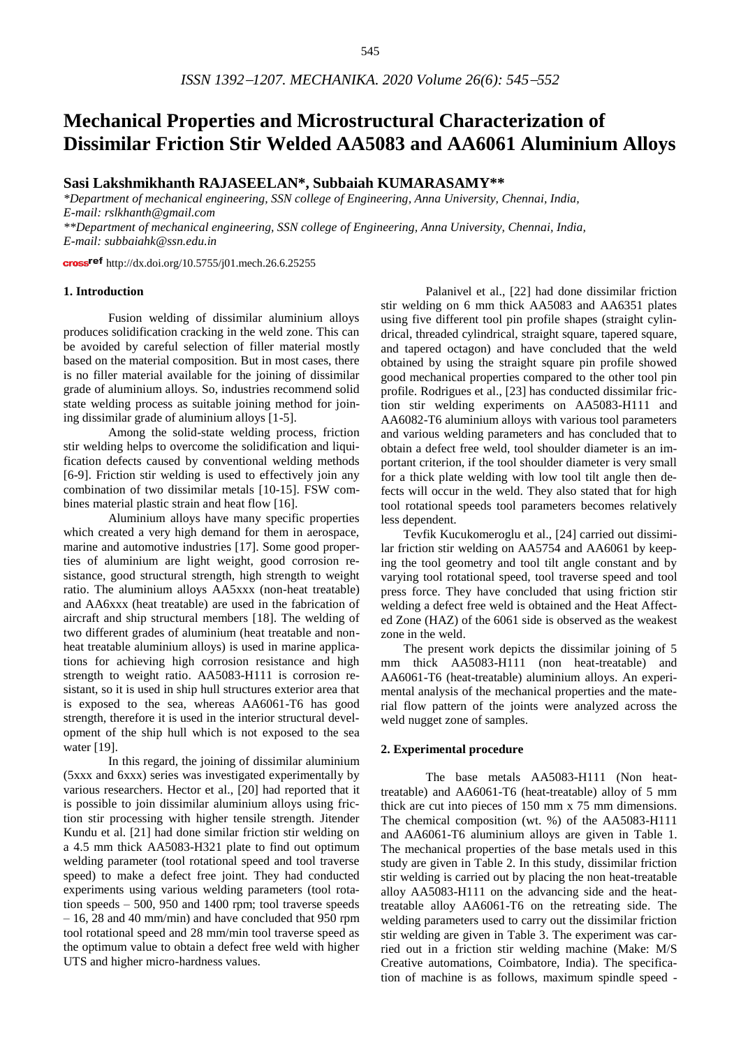# **Mechanical Properties and Microstructural Characterization of Dissimilar Friction Stir Welded AA5083 and AA6061 Aluminium Alloys**

# **Sasi Lakshmikhanth RAJASEELAN\*, Subbaiah KUMARASAMY\*\***

*\*Department of mechanical engineering, SSN college of Engineering, Anna University, Chennai, India, E-mail: rslkhanth@gmail.com*

*\*\*Department of mechanical engineering, SSN college of Engineering, Anna University, Chennai, India, E-mail: subbaiahk@ssn.edu.in*

cross<sup>ref</sup> <http://dx.doi.org/10.5755/j01.mech.26.6.25255>

## **1. Introduction**

Fusion welding of dissimilar aluminium alloys produces solidification cracking in the weld zone. This can be avoided by careful selection of filler material mostly based on the material composition. But in most cases, there is no filler material available for the joining of dissimilar grade of aluminium alloys. So, industries recommend solid state welding process as suitable joining method for joining dissimilar grade of aluminium alloys [1-5].

Among the solid-state welding process, friction stir welding helps to overcome the solidification and liquification defects caused by conventional welding methods [6-9]. Friction stir welding is used to effectively join any combination of two dissimilar metals [10-15]. FSW combines material plastic strain and heat flow [16].

Aluminium alloys have many specific properties which created a very high demand for them in aerospace, marine and automotive industries [17]. Some good properties of aluminium are light weight, good corrosion resistance, good structural strength, high strength to weight ratio. The aluminium alloys AA5xxx (non-heat treatable) and AA6xxx (heat treatable) are used in the fabrication of aircraft and ship structural members [18]. The welding of two different grades of aluminium (heat treatable and nonheat treatable aluminium alloys) is used in marine applications for achieving high corrosion resistance and high strength to weight ratio. AA5083-H111 is corrosion resistant, so it is used in ship hull structures exterior area that is exposed to the sea, whereas AA6061-T6 has good strength, therefore it is used in the interior structural development of the ship hull which is not exposed to the sea water [19].

In this regard, the joining of dissimilar aluminium (5xxx and 6xxx) series was investigated experimentally by various researchers. Hector et al., [20] had reported that it is possible to join dissimilar aluminium alloys using friction stir processing with higher tensile strength. Jitender Kundu et al. [21] had done similar friction stir welding on a 4.5 mm thick AA5083-H321 plate to find out optimum welding parameter (tool rotational speed and tool traverse speed) to make a defect free joint. They had conducted experiments using various welding parameters (tool rotation speeds – 500, 950 and 1400 rpm; tool traverse speeds – 16, 28 and 40 mm/min) and have concluded that 950 rpm tool rotational speed and 28 mm/min tool traverse speed as the optimum value to obtain a defect free weld with higher UTS and higher micro-hardness values.

Palanivel et al., [22] had done dissimilar friction stir welding on 6 mm thick AA5083 and AA6351 plates using five different tool pin profile shapes (straight cylindrical, threaded cylindrical, straight square, tapered square, and tapered octagon) and have concluded that the weld obtained by using the straight square pin profile showed good mechanical properties compared to the other tool pin profile. Rodrigues et al., [23] has conducted dissimilar friction stir welding experiments on AA5083-H111 and AA6082-T6 aluminium alloys with various tool parameters and various welding parameters and has concluded that to obtain a defect free weld, tool shoulder diameter is an important criterion, if the tool shoulder diameter is very small for a thick plate welding with low tool tilt angle then defects will occur in the weld. They also stated that for high tool rotational speeds tool parameters becomes relatively less dependent.

Tevfik Kucukomeroglu et al., [24] carried out dissimilar friction stir welding on AA5754 and AA6061 by keeping the tool geometry and tool tilt angle constant and by varying tool rotational speed, tool traverse speed and tool press force. They have concluded that using friction stir welding a defect free weld is obtained and the Heat Affected Zone (HAZ) of the 6061 side is observed as the weakest zone in the weld.

The present work depicts the dissimilar joining of 5 mm thick AA5083-H111 (non heat-treatable) and AA6061-T6 (heat-treatable) aluminium alloys. An experimental analysis of the mechanical properties and the material flow pattern of the joints were analyzed across the weld nugget zone of samples.

#### **2. Experimental procedure**

The base metals AA5083-H111 (Non heattreatable) and AA6061-T6 (heat-treatable) alloy of 5 mm thick are cut into pieces of 150 mm x 75 mm dimensions. The chemical composition (wt. %) of the AA5083-H111 and AA6061-T6 aluminium alloys are given in Table 1. The mechanical properties of the base metals used in this study are given in Table 2. In this study, dissimilar friction stir welding is carried out by placing the non heat-treatable alloy AA5083-H111 on the advancing side and the heattreatable alloy AA6061-T6 on the retreating side. The welding parameters used to carry out the dissimilar friction stir welding are given in Table 3. The experiment was carried out in a friction stir welding machine (Make: M/S Creative automations, Coimbatore, India). The specification of machine is as follows, maximum spindle speed -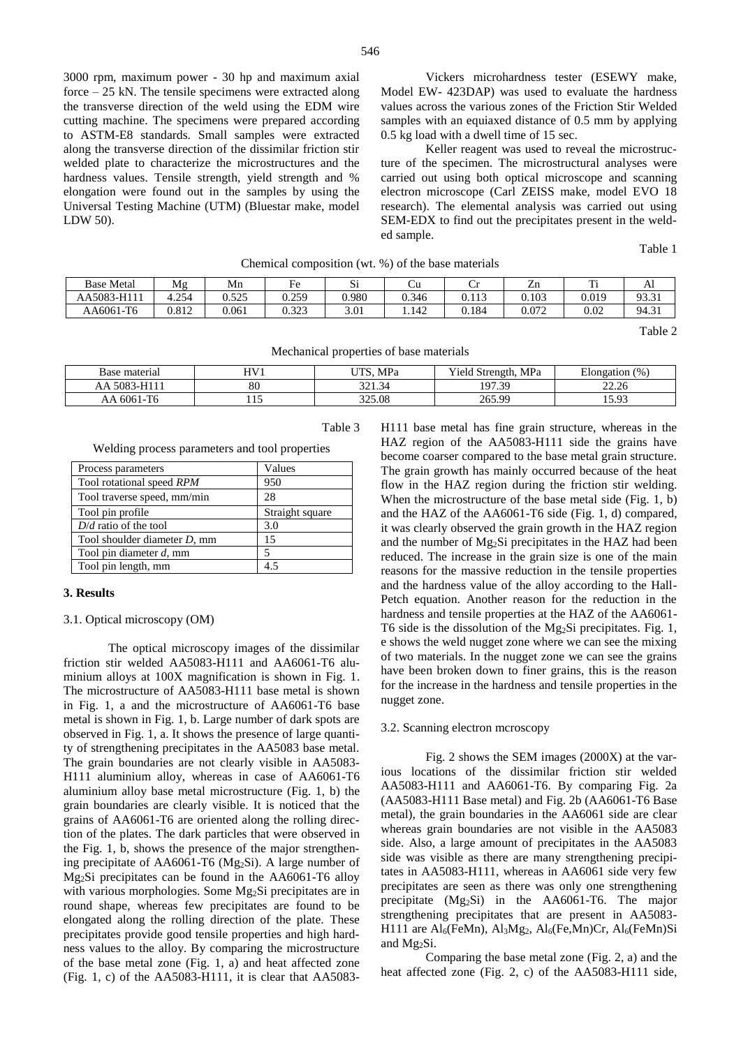3000 rpm, maximum power - 30 hp and maximum axial force – 25 kN. The tensile specimens were extracted along the transverse direction of the weld using the EDM wire cutting machine. The specimens were prepared according to ASTM-E8 standards. Small samples were extracted along the transverse direction of the dissimilar friction stir welded plate to characterize the microstructures and the hardness values. Tensile strength, yield strength and % elongation were found out in the samples by using the Universal Testing Machine (UTM) (Bluestar make, model LDW 50).

Vickers microhardness tester (ESEWY make, Model EW- 423DAP) was used to evaluate the hardness values across the various zones of the Friction Stir Welded samples with an equiaxed distance of 0.5 mm by applying 0.5 kg load with a dwell time of 15 sec.

Keller reagent was used to reveal the microstructure of the specimen. The microstructural analyses were carried out using both optical microscope and scanning electron microscope (Carl ZEISS make, model EVO 18 research). The elemental analysis was carried out using SEM-EDX to find out the precipitates present in the welded sample.

Table 1

| Chemical composition (wt. %) of the base materials |       |       |       |       |       |       |       |       |       |
|----------------------------------------------------|-------|-------|-------|-------|-------|-------|-------|-------|-------|
| <b>Base Metal</b>                                  | Mg    | Mn    | Fe    | Si    |       |       | Zn    |       |       |
| AA5083-H111                                        | 4.254 | 0.525 | 0.259 | 0.980 | 0.346 | 0.113 | 0.103 | 0.019 | 93.31 |
| AA6061-T6                                          | 0.812 | 0.061 | 0.323 | 3.01  | .142  | 0.184 | 0.072 | 0.02  | 94.31 |

Table 2

| Mechanical properties of base materials |  |
|-----------------------------------------|--|
|                                         |  |

| Base material              | LI V 71 | <b>TITIO</b><br>MPa                       | $\mathbf{v}$<br>! Strength, MPa<br>'ield | --<br>(0)<br>Elongation |
|----------------------------|---------|-------------------------------------------|------------------------------------------|-------------------------|
| 5083<br>AA.                | 80      | 221<br>$\sim$<br>$\sim$<br><i>JL</i> 1.JT | 197.39                                   | 22.26<br>-----          |
| $\mathbf{m}$<br>6061<br>AΑ | 1 I J   | 325.08                                    | 265.99                                   | 503<br>10.J             |

## Table 3

Welding process parameters and tool properties

| Process parameters           | Values          |
|------------------------------|-----------------|
| Tool rotational speed RPM    | 950             |
| Tool traverse speed, mm/min  | 28              |
| Tool pin profile             | Straight square |
| $D/d$ ratio of the tool      | 3.0             |
| Tool shoulder diameter D, mm | 15              |
| Tool pin diameter $d$ , mm   | 5               |
| Tool pin length, mm          |                 |

## **3. Results**

#### 3.1. Optical microscopy (OM)

The optical microscopy images of the dissimilar friction stir welded AA5083-H111 and AA6061-T6 aluminium alloys at 100X magnification is shown in Fig. 1. The microstructure of AA5083-H111 base metal is shown in Fig. 1, a and the microstructure of AA6061-T6 base metal is shown in Fig. 1, b. Large number of dark spots are observed in Fig. 1, a. It shows the presence of large quantity of strengthening precipitates in the AA5083 base metal. The grain boundaries are not clearly visible in AA5083- H111 aluminium alloy, whereas in case of AA6061-T6 aluminium alloy base metal microstructure (Fig. 1, b) the grain boundaries are clearly visible. It is noticed that the grains of AA6061-T6 are oriented along the rolling direction of the plates. The dark particles that were observed in the Fig. 1, b, shows the presence of the major strengthening precipitate of AA6061-T6 (Mg2Si). A large number of Mg2Si precipitates can be found in the AA6061-T6 alloy with various morphologies. Some Mg2Si precipitates are in round shape, whereas few precipitates are found to be elongated along the rolling direction of the plate. These precipitates provide good tensile properties and high hardness values to the alloy. By comparing the microstructure of the base metal zone (Fig. 1, a) and heat affected zone (Fig. 1, c) of the AA5083-H111, it is clear that AA5083H111 base metal has fine grain structure, whereas in the HAZ region of the AA5083-H111 side the grains have become coarser compared to the base metal grain structure. The grain growth has mainly occurred because of the heat flow in the HAZ region during the friction stir welding. When the microstructure of the base metal side (Fig. 1, b) and the HAZ of the AA6061-T6 side (Fig. 1, d) compared, it was clearly observed the grain growth in the HAZ region and the number of Mg2Si precipitates in the HAZ had been reduced. The increase in the grain size is one of the main reasons for the massive reduction in the tensile properties and the hardness value of the alloy according to the Hall-Petch equation. Another reason for the reduction in the hardness and tensile properties at the HAZ of the AA6061- T6 side is the dissolution of the Mg2Si precipitates. Fig. 1, e shows the weld nugget zone where we can see the mixing of two materials. In the nugget zone we can see the grains have been broken down to finer grains, this is the reason for the increase in the hardness and tensile properties in the nugget zone.

## 3.2. Scanning electron mcroscopy

Fig. 2 shows the SEM images (2000X) at the various locations of the dissimilar friction stir welded AA5083-H111 and AA6061-T6. By comparing Fig. 2a (AA5083-H111 Base metal) and Fig. 2b (AA6061-T6 Base metal), the grain boundaries in the AA6061 side are clear whereas grain boundaries are not visible in the AA5083 side. Also, a large amount of precipitates in the AA5083 side was visible as there are many strengthening precipitates in AA5083-H111, whereas in AA6061 side very few precipitates are seen as there was only one strengthening precipitate (Mg2Si) in the AA6061-T6. The major strengthening precipitates that are present in AA5083- H111 are Al<sub>6</sub>(FeMn), Al<sub>3</sub>Mg<sub>2</sub>, Al<sub>6</sub>(Fe,Mn)Cr, Al<sub>6</sub>(FeMn)Si and Mg2Si.

Comparing the base metal zone (Fig. 2, a) and the heat affected zone (Fig. 2, c) of the AA5083-H111 side,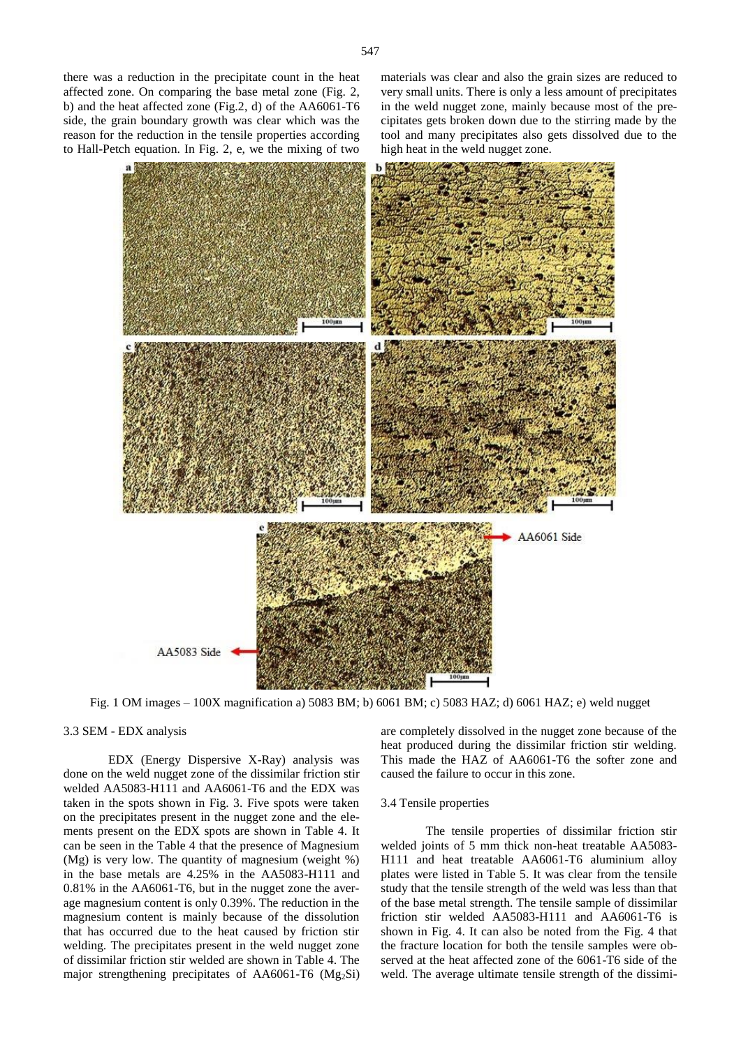side, the grain boundary growth was clear which was the reason for the reduction in the tensile properties according to Hall-Petch equation. In Fig. 2, e, we the mixing of two materials was clear and also the grain sizes are reduced to very small units. There is only a less amount of precipitates in the weld nugget zone, mainly because most of the precipitates gets broken down due to the stirring made by the tool and many precipitates also gets dissolved due to the high heat in the weld nugget zone.



Fig. 1 OM images – 100X magnification a) 5083 BM; b) 6061 BM; c) 5083 HAZ; d) 6061 HAZ; e) weld nugget

#### 3.3 SEM - EDX analysis

EDX (Energy Dispersive X-Ray) analysis was done on the weld nugget zone of the dissimilar friction stir welded AA5083-H111 and AA6061-T6 and the EDX was taken in the spots shown in Fig. 3. Five spots were taken on the precipitates present in the nugget zone and the elements present on the EDX spots are shown in Table 4. It can be seen in the Table 4 that the presence of Magnesium (Mg) is very low. The quantity of magnesium (weight %) in the base metals are 4.25% in the AA5083-H111 and 0.81% in the AA6061-T6, but in the nugget zone the average magnesium content is only 0.39%. The reduction in the magnesium content is mainly because of the dissolution that has occurred due to the heat caused by friction stir welding. The precipitates present in the weld nugget zone of dissimilar friction stir welded are shown in Table 4. The major strengthening precipitates of AA6061-T6  $(Mg_2Si)$  are completely dissolved in the nugget zone because of the heat produced during the dissimilar friction stir welding. This made the HAZ of AA6061-T6 the softer zone and caused the failure to occur in this zone.

#### 3.4 Tensile properties

The tensile properties of dissimilar friction stir welded joints of 5 mm thick non-heat treatable AA5083- H111 and heat treatable AA6061-T6 aluminium alloy plates were listed in Table 5. It was clear from the tensile study that the tensile strength of the weld was less than that of the base metal strength. The tensile sample of dissimilar friction stir welded AA5083-H111 and AA6061-T6 is shown in Fig. 4. It can also be noted from the Fig. 4 that the fracture location for both the tensile samples were observed at the heat affected zone of the 6061-T6 side of the weld. The average ultimate tensile strength of the dissimi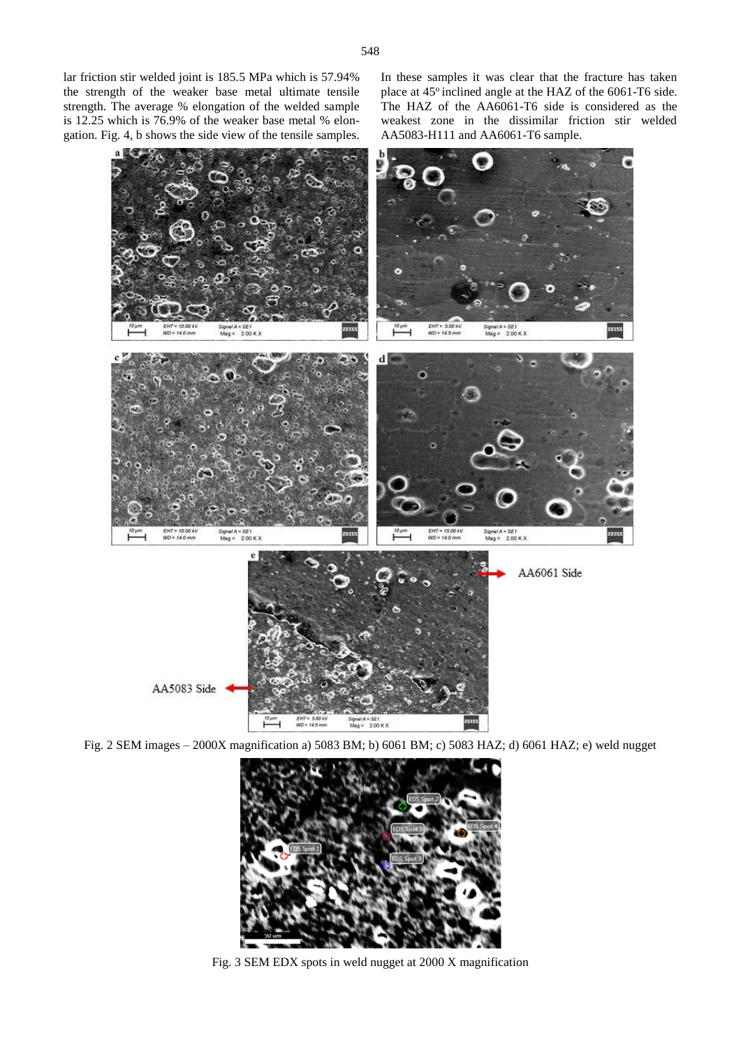lar friction stir welded joint is 185.5 MPa which is 57.94% the strength of the weaker base metal ultimate tensile strength. The average % elongation of the welded sample is 12.25 which is 76.9% of the weaker base metal % elongation. Fig. 4, b shows the side view of the tensile samples. In these samples it was clear that the fracture has taken place at 45° inclined angle at the HAZ of the 6061-T6 side. The HAZ of the AA6061-T6 side is considered as the weakest zone in the dissimilar friction stir welded AA5083-H111 and AA6061-T6 sample.



Fig. 2 SEM images – 2000X magnification a) 5083 BM; b) 6061 BM; c) 5083 HAZ; d) 6061 HAZ; e) weld nugget



Fig. 3 SEM EDX spots in weld nugget at 2000 X magnification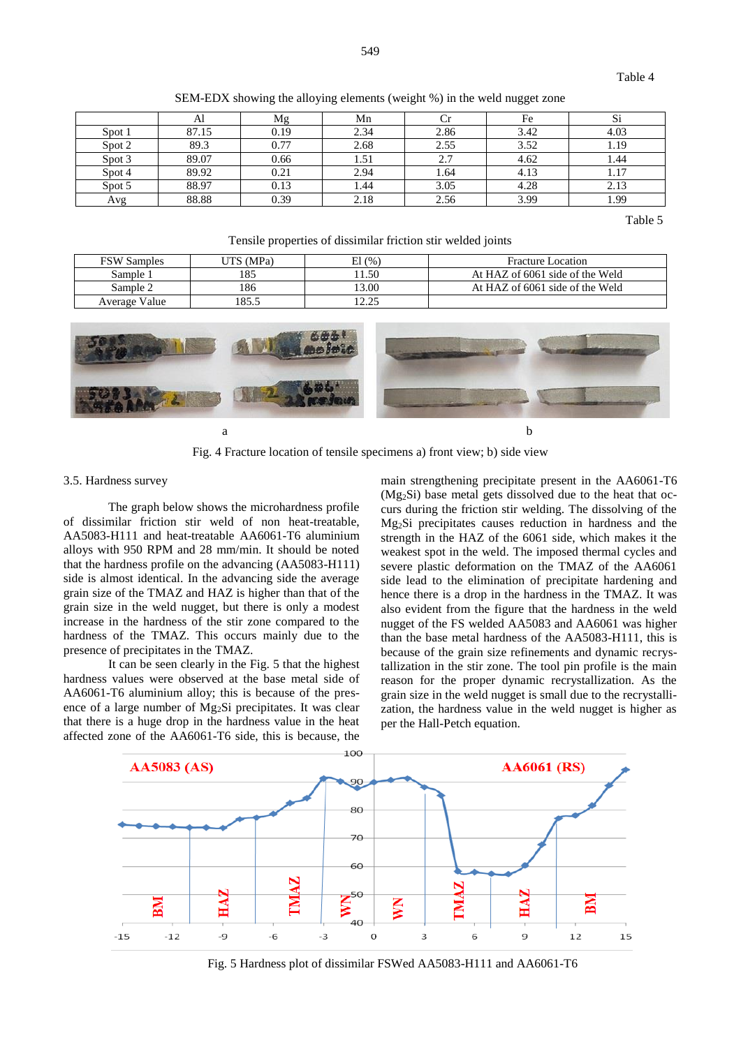| SEM-EDX showing the alloying elements (weight %) in the weld nugget zone |  |
|--------------------------------------------------------------------------|--|
|--------------------------------------------------------------------------|--|

|        | Al    | Mg   | Mn   |      | Fe   | Si   |
|--------|-------|------|------|------|------|------|
| Spot 1 | 87.15 | 0.19 | 2.34 | 2.86 | 3.42 | 4.03 |
| Spot 2 | 89.3  | 0.77 | 2.68 | 2.55 | 3.52 | 1.19 |
| Spot 3 | 89.07 | 0.66 | 1.51 | 2.7  | 4.62 | 1.44 |
| Spot 4 | 89.92 | 0.21 | 2.94 | 1.64 | 4.13 | 1.17 |
| Spot 5 | 88.97 | 0.13 | 1.44 | 3.05 | 4.28 | 2.13 |
| Avg    | 88.88 | 0.39 | 2.18 | 2.56 | 3.99 | 1.99 |

Table 5

Tensile properties of dissimilar friction stir welded joints

| <b>FSW Samples</b> | UTS (MPa) | El (%) | <b>Fracture Location</b>        |
|--------------------|-----------|--------|---------------------------------|
| Sample 1           | 185       | 1.50   | At HAZ of 6061 side of the Weld |
| Sample 2           | 186       | 13.00  | At HAZ of 6061 side of the Weld |
| Average Value      | 185.5     | 1つ つち  |                                 |



Fig. 4 Fracture location of tensile specimens a) front view; b) side view

#### 3.5. Hardness survey

The graph below shows the microhardness profile of dissimilar friction stir weld of non heat-treatable, AA5083-H111 and heat-treatable AA6061-T6 aluminium alloys with 950 RPM and 28 mm/min. It should be noted that the hardness profile on the advancing (AA5083-H111) side is almost identical. In the advancing side the average grain size of the TMAZ and HAZ is higher than that of the grain size in the weld nugget, but there is only a modest increase in the hardness of the stir zone compared to the hardness of the TMAZ. This occurs mainly due to the presence of precipitates in the TMAZ.

It can be seen clearly in the Fig. 5 that the highest hardness values were observed at the base metal side of AA6061-T6 aluminium alloy; this is because of the presence of a large number of Mg2Si precipitates. It was clear that there is a huge drop in the hardness value in the heat affected zone of the AA6061-T6 side, this is because, the main strengthening precipitate present in the AA6061-T6 (Mg2Si) base metal gets dissolved due to the heat that occurs during the friction stir welding. The dissolving of the Mg2Si precipitates causes reduction in hardness and the strength in the HAZ of the 6061 side, which makes it the weakest spot in the weld. The imposed thermal cycles and severe plastic deformation on the TMAZ of the AA6061 side lead to the elimination of precipitate hardening and hence there is a drop in the hardness in the TMAZ. It was also evident from the figure that the hardness in the weld nugget of the FS welded AA5083 and AA6061 was higher than the base metal hardness of the AA5083-H111, this is because of the grain size refinements and dynamic recrystallization in the stir zone. The tool pin profile is the main reason for the proper dynamic recrystallization. As the grain size in the weld nugget is small due to the recrystallization, the hardness value in the weld nugget is higher as per the Hall-Petch equation.



Fig. 5 Hardness plot of dissimilar FSWed AA5083-H111 and AA6061-T6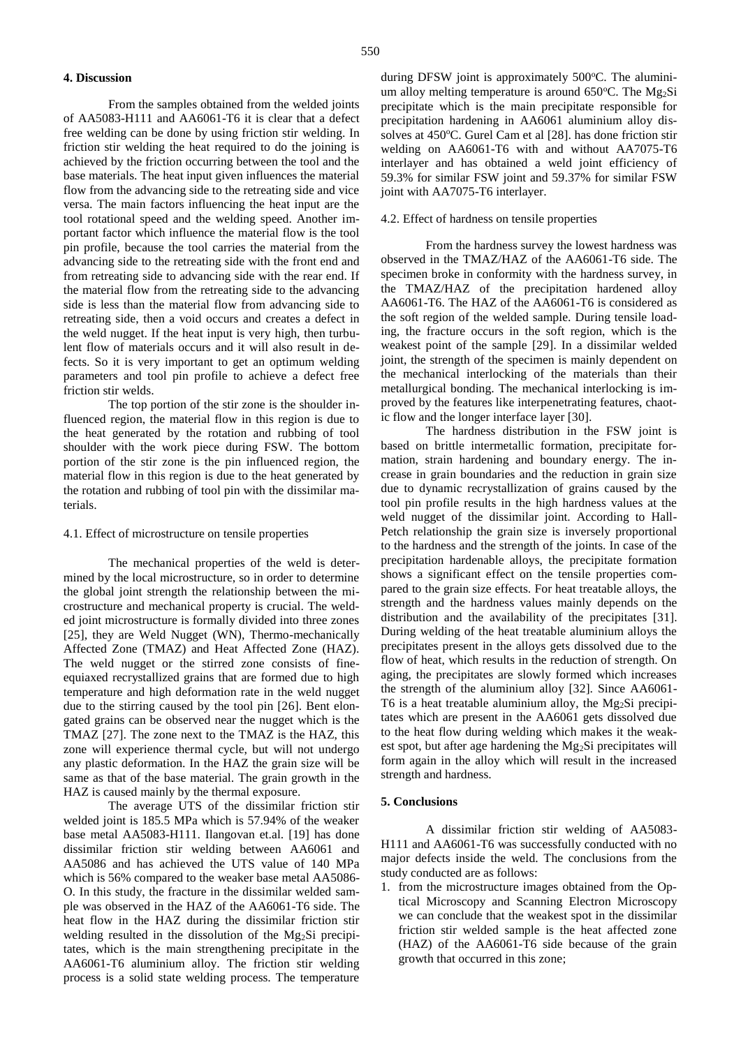## **4. Discussion**

From the samples obtained from the welded joints of AA5083-H111 and AA6061-T6 it is clear that a defect free welding can be done by using friction stir welding. In friction stir welding the heat required to do the joining is achieved by the friction occurring between the tool and the base materials. The heat input given influences the material flow from the advancing side to the retreating side and vice versa. The main factors influencing the heat input are the tool rotational speed and the welding speed. Another important factor which influence the material flow is the tool pin profile, because the tool carries the material from the advancing side to the retreating side with the front end and from retreating side to advancing side with the rear end. If the material flow from the retreating side to the advancing side is less than the material flow from advancing side to retreating side, then a void occurs and creates a defect in the weld nugget. If the heat input is very high, then turbulent flow of materials occurs and it will also result in defects. So it is very important to get an optimum welding parameters and tool pin profile to achieve a defect free friction stir welds.

The top portion of the stir zone is the shoulder influenced region, the material flow in this region is due to the heat generated by the rotation and rubbing of tool shoulder with the work piece during FSW. The bottom portion of the stir zone is the pin influenced region, the material flow in this region is due to the heat generated by the rotation and rubbing of tool pin with the dissimilar materials.

#### 4.1. Effect of microstructure on tensile properties

The mechanical properties of the weld is determined by the local microstructure, so in order to determine the global joint strength the relationship between the microstructure and mechanical property is crucial. The welded joint microstructure is formally divided into three zones [25], they are Weld Nugget (WN), Thermo-mechanically Affected Zone (TMAZ) and Heat Affected Zone (HAZ). The weld nugget or the stirred zone consists of fineequiaxed recrystallized grains that are formed due to high temperature and high deformation rate in the weld nugget due to the stirring caused by the tool pin [26]. Bent elongated grains can be observed near the nugget which is the TMAZ [27]. The zone next to the TMAZ is the HAZ, this zone will experience thermal cycle, but will not undergo any plastic deformation. In the HAZ the grain size will be same as that of the base material. The grain growth in the HAZ is caused mainly by the thermal exposure.

The average UTS of the dissimilar friction stir welded joint is 185.5 MPa which is 57.94% of the weaker base metal AA5083-H111. Ilangovan et.al. [19] has done dissimilar friction stir welding between AA6061 and AA5086 and has achieved the UTS value of 140 MPa which is 56% compared to the weaker base metal AA5086- O. In this study, the fracture in the dissimilar welded sample was observed in the HAZ of the AA6061-T6 side. The heat flow in the HAZ during the dissimilar friction stir welding resulted in the dissolution of the Mg<sub>2</sub>Si precipitates, which is the main strengthening precipitate in the AA6061-T6 aluminium alloy. The friction stir welding process is a solid state welding process. The temperature during DFSW joint is approximately  $500^{\circ}$ C. The aluminium alloy melting temperature is around 650°C. The Mg<sub>2</sub>Si precipitate which is the main precipitate responsible for precipitation hardening in AA6061 aluminium alloy dissolves at 450°C. Gurel Cam et al [28]. has done friction stir welding on AA6061-T6 with and without AA7075-T6 interlayer and has obtained a weld joint efficiency of 59.3% for similar FSW joint and 59.37% for similar FSW joint with AA7075-T6 interlayer.

#### 4.2. Effect of hardness on tensile properties

From the hardness survey the lowest hardness was observed in the TMAZ/HAZ of the AA6061-T6 side. The specimen broke in conformity with the hardness survey, in the TMAZ/HAZ of the precipitation hardened alloy AA6061-T6. The HAZ of the AA6061-T6 is considered as the soft region of the welded sample. During tensile loading, the fracture occurs in the soft region, which is the weakest point of the sample [29]. In a dissimilar welded joint, the strength of the specimen is mainly dependent on the mechanical interlocking of the materials than their metallurgical bonding. The mechanical interlocking is improved by the features like interpenetrating features, chaotic flow and the longer interface layer [30].

The hardness distribution in the FSW joint is based on brittle intermetallic formation, precipitate formation, strain hardening and boundary energy. The increase in grain boundaries and the reduction in grain size due to dynamic recrystallization of grains caused by the tool pin profile results in the high hardness values at the weld nugget of the dissimilar joint. According to Hall-Petch relationship the grain size is inversely proportional to the hardness and the strength of the joints. In case of the precipitation hardenable alloys, the precipitate formation shows a significant effect on the tensile properties compared to the grain size effects. For heat treatable alloys, the strength and the hardness values mainly depends on the distribution and the availability of the precipitates [31]. During welding of the heat treatable aluminium alloys the precipitates present in the alloys gets dissolved due to the flow of heat, which results in the reduction of strength. On aging, the precipitates are slowly formed which increases the strength of the aluminium alloy [32]. Since AA6061- T6 is a heat treatable aluminium alloy, the Mg<sub>2</sub>Si precipitates which are present in the AA6061 gets dissolved due to the heat flow during welding which makes it the weakest spot, but after age hardening the Mg2Si precipitates will form again in the alloy which will result in the increased strength and hardness.

#### **5. Conclusions**

A dissimilar friction stir welding of AA5083- H111 and AA6061-T6 was successfully conducted with no major defects inside the weld. The conclusions from the study conducted are as follows:

1. from the microstructure images obtained from the Optical Microscopy and Scanning Electron Microscopy we can conclude that the weakest spot in the dissimilar friction stir welded sample is the heat affected zone (HAZ) of the AA6061-T6 side because of the grain growth that occurred in this zone;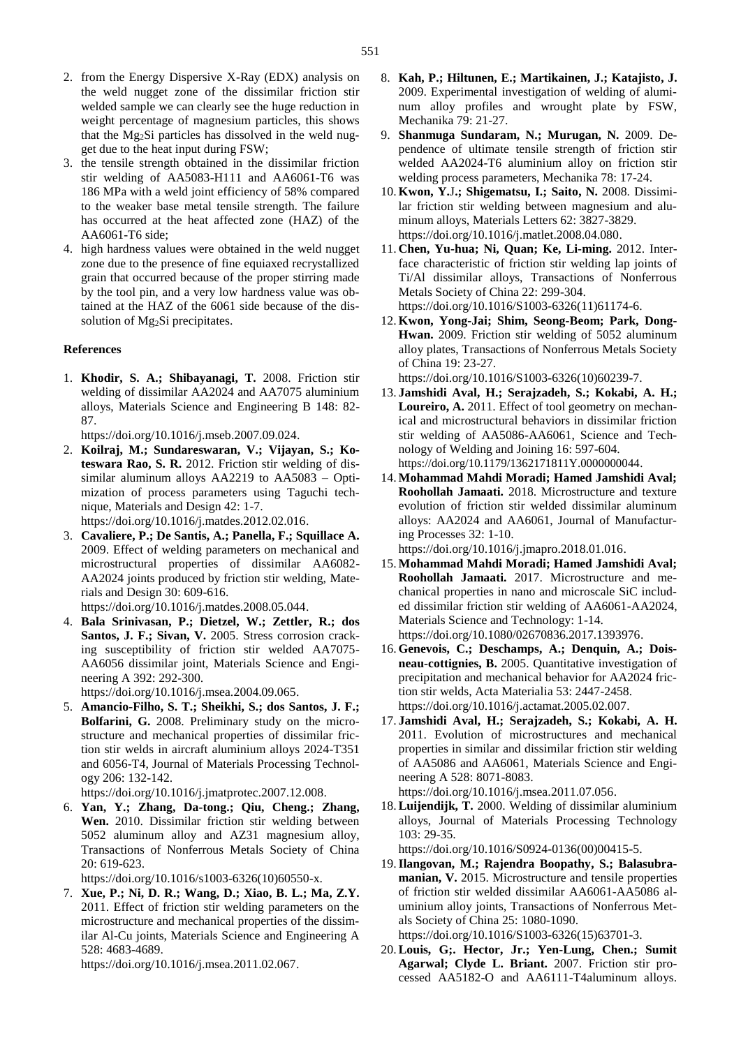- 3. the tensile strength obtained in the dissimilar friction stir welding of AA5083-H111 and AA6061-T6 was 186 MPa with a weld joint efficiency of 58% compared to the weaker base metal tensile strength. The failure has occurred at the heat affected zone (HAZ) of the AA6061-T6 side;
- 4. high hardness values were obtained in the weld nugget zone due to the presence of fine equiaxed recrystallized grain that occurred because of the proper stirring made by the tool pin, and a very low hardness value was obtained at the HAZ of the 6061 side because of the dissolution of Mg<sub>2</sub>Si precipitates.

## **References**

1. **Khodir, S. A.; Shibayanagi, T.** 2008. Friction stir welding of dissimilar AA2024 and AA7075 aluminium alloys, Materials Science and Engineering B 148: 82- 87.

[https://doi.org/10.1016/j.mseb.2007.09.024.](https://doi.org/10.1016/j.mseb.2007.09.024)

- 2. **Koilraj, M.; Sundareswaran, V.; Vijayan, S.; Koteswara Rao, S. R.** 2012. Friction stir welding of dissimilar aluminum alloys AA2219 to AA5083 – Optimization of process parameters using Taguchi technique, Materials and Design 42: 1-7. [https://doi.org/10.1016/j.matdes.2012.02.016.](https://doi.org/10.1016/j.matdes.2012.02.016)
- 3. **Cavaliere, P.; De Santis, A.; Panella, F.; Squillace A.** 2009. Effect of welding parameters on mechanical and microstructural properties of dissimilar AA6082- AA2024 joints produced by friction stir welding, Materials and Design 30: 609-616.

[https://doi.org/10.1016/j.matdes.2008.05.044.](https://doi.org/10.1016/j.matdes.2008.05.044)

4. **Bala Srinivasan, P.; Dietzel, W.; Zettler, R.; dos Santos, J. F.; Sivan, V.** 2005. Stress corrosion cracking susceptibility of friction stir welded AA7075- AA6056 dissimilar joint, Materials Science and Engineering A 392: 292-300.

[https://doi.org/10.1016/j.msea.2004.09.065.](https://doi.org/10.1016/j.msea.2004.09.065)

5. **Amancio-Filho, S. T.; Sheikhi, S.; dos Santos, J. F.; Bolfarini, G.** 2008. Preliminary study on the microstructure and mechanical properties of dissimilar friction stir welds in aircraft aluminium alloys 2024-T351 and 6056-T4, Journal of Materials Processing Technology 206: 132-142.

[https://doi.org/10.1016/j.jmatprotec.2007.12.008.](https://doi.org/10.1016/j.jmatprotec.2007.12.008)

6. **Yan, Y.; Zhang, Da-tong.; Qiu, Cheng.; Zhang, Wen.** 2010. Dissimilar friction stir welding between 5052 aluminum alloy and AZ31 magnesium alloy, Transactions of Nonferrous Metals Society of China 20: 619-623.

https://doi.org/10.1016/s1003-6326(10)60550-x.

7. **Xue, P.; Ni, D. R.; Wang, D.; Xiao, B. L.; Ma, Z.Y.** 2011. Effect of friction stir welding parameters on the microstructure and mechanical properties of the dissimilar Al-Cu joints, Materials Science and Engineering A 528: 4683-4689.

[https://doi.org/10.1016/j.msea.2011.02.067.](https://doi.org/10.1016/j.msea.2011.02.067)

- 8. **Kah, P.; Hiltunen, E.; Martikainen, J.; Katajisto, J.** 2009. Experimental investigation of welding of aluminum alloy profiles and wrought plate by FSW, Mechanika 79: 21-27.
- 9. **Shanmuga Sundaram, N.; Murugan, N.** 2009. Dependence of ultimate tensile strength of friction stir welded AA2024-T6 aluminium alloy on friction stir welding process parameters, Mechanika 78: 17-24.
- 10. **Kwon, Y.**J**.; Shigematsu, I.; Saito, N.** 2008. Dissimilar friction stir welding between magnesium and aluminum alloys, Materials Letters 62: 3827-3829. [https://doi.org/10.1016/j.matlet.2008.04.080.](https://doi.org/10.1016/j.matlet.2008.04.080)
- 11. **Chen, Yu-hua; Ni, Quan; Ke, Li-ming.** 2012. Interface characteristic of friction stir welding lap joints of Ti/Al dissimilar alloys, Transactions of Nonferrous Metals Society of China 22: 299-304. [https://doi.org/10.1016/S1003-6326\(11\)61174-6.](https://doi.org/10.1016/S1003-6326(11)61174-6)
- 12. **Kwon, Yong-Jai; Shim, Seong-Beom; Park, Dong-Hwan.** 2009. Friction stir welding of 5052 aluminum alloy plates, Transactions of Nonferrous Metals Society of China 19: 23-27.

[https://doi.org/10.1016/S1003-6326\(10\)60239-7.](https://doi.org/10.1016/S1003-6326(10)60239-7)

- 13. **Jamshidi Aval, H.; Serajzadeh, S.; Kokabi, A. H.; Loureiro, A.** 2011. Effect of tool geometry on mechanical and microstructural behaviors in dissimilar friction stir welding of AA5086-AA6061, Science and Technology of Welding and Joining 16: 597-604. [https://doi.org/10.1179/1362171811Y.0000000044.](https://doi.org/10.1179/1362171811Y.0000000044)
- 14. **Mohammad Mahdi Moradi; Hamed Jamshidi Aval; Roohollah Jamaati.** 2018. Microstructure and texture evolution of friction stir welded dissimilar aluminum alloys: AA2024 and AA6061, Journal of Manufacturing Processes 32: 1-10. [https://doi.org/10.1016/j.jmapro.2018.01.016.](https://doi.org/10.1016/j.jmapro.2018.01.016)
- 15. **Mohammad Mahdi Moradi; Hamed Jamshidi Aval; Roohollah Jamaati.** 2017. Microstructure and mechanical properties in nano and microscale SiC included dissimilar friction stir welding of AA6061-AA2024, Materials Science and Technology: 1-14. [https://doi.org/10.1080/02670836.2017.1393976.](https://doi.org/10.1080/02670836.2017.1393976)
- 16. **Genevois, C.; Deschamps, A.; Denquin, A.; Doisneau-cottignies, B.** 2005. Quantitative investigation of precipitation and mechanical behavior for AA2024 friction stir welds, Acta Materialia 53: 2447-2458. [https://doi.org/10.1016/j.actamat.2005.02.007.](https://doi.org/10.1016/j.actamat.2005.02.007)
- 17. **Jamshidi Aval, H.; Serajzadeh, S.; Kokabi, A. H.** 2011. Evolution of microstructures and mechanical properties in similar and dissimilar friction stir welding of AA5086 and AA6061, Materials Science and Engineering A 528: 8071-8083.

[https://doi.org/10.1016/j.msea.2011.07.056.](https://doi.org/10.1016/j.msea.2011.07.056)

18.**Luijendijk, T.** 2000. Welding of dissimilar aluminium alloys, Journal of Materials Processing Technology 103: 29-35.

[https://doi.org/10.1016/S0924-0136\(00\)00415-5.](https://doi.org/10.1016/S0924-0136(00)00415-5)

19.**Ilangovan, M.; Rajendra Boopathy, S.; Balasubramanian, V.** 2015. Microstructure and tensile properties of friction stir welded dissimilar AA6061-AA5086 aluminium alloy joints, Transactions of Nonferrous Metals Society of China 25: 1080-1090.

[https://doi.org/10.1016/S1003-6326\(15\)63701-3.](https://doi.org/10.1016/S1003-6326(15)63701-3)

20.**Louis, G;. Hector, Jr.; Yen-Lung, Chen.; Sumit Agarwal; Clyde L. Briant.** 2007. Friction stir processed AA5182-O and AA6111-T4aluminum alloys.